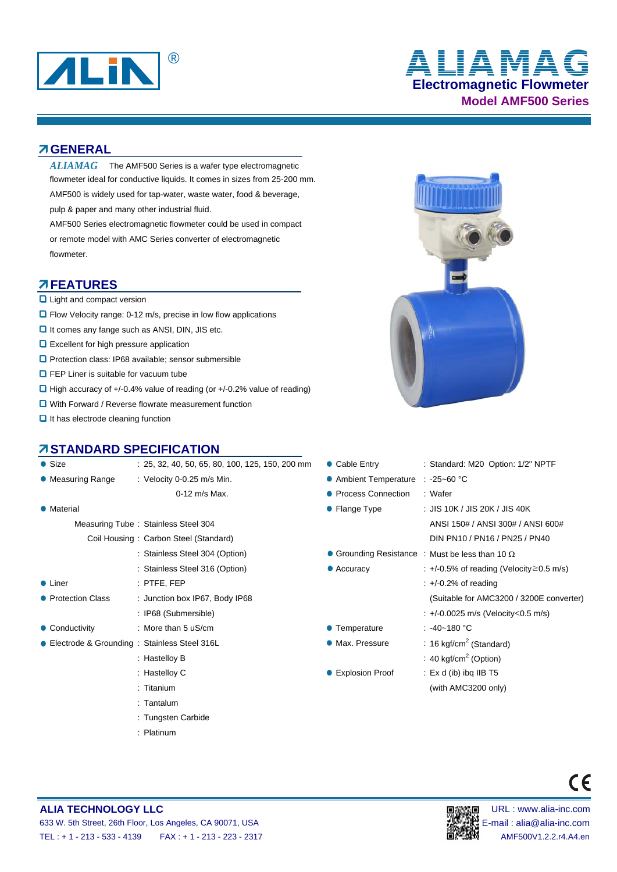

# **Electromagnetic Flowmeter Model AMF500 Series** ® **ALIAMAG**

#### **GENERAL**

 $ALIAMAG$  The AMF500 Series is a wafer type electromagnetic flowmeter ideal for conductive liquids. It comes in sizes from 25-200 mm. AMF500 is widely used for tap-water, waste water, food & beverage, pulp & paper and many other industrial fluid.

AMF500 Series electromagnetic flowmeter could be used in compact or remote model with AMC Series converter of electromagnetic flowmeter.

### **AFEATURES**

- **Light and compact version**
- Flow Velocity range: 0-12 m/s, precise in low flow applications
- $\Box$  It comes any fange such as ANSI, DIN, JIS etc.
- **Q** Excellent for high pressure application
- **Q** Protection class: IP68 available; sensor submersible
- **O** FEP Liner is suitable for vacuum tube
- $\Box$  High accuracy of +/-0.4% value of reading (or +/-0.2% value of reading)
- **Q** With Forward / Reverse flowrate measurement function
- $\Box$  It has electrode cleaning function

# **ZISTANDARD SPECIFICATION**

| $\bullet$ Size     | $: 25, 32, 40, 50, 65, 80, 100, 125, 150, 200$ mm | • Cable Entry         | : Standard: M20 Option: 1/2" NPTF                      |  |  |
|--------------------|---------------------------------------------------|-----------------------|--------------------------------------------------------|--|--|
| • Measuring Range  | : Velocity $0-0.25$ m/s Min.                      | • Ambient Temperature | $: -25 - 60$ °C                                        |  |  |
|                    | $0-12$ m/s Max.                                   | • Process Connection  | : Wafer                                                |  |  |
| • Material         |                                                   | • Flange Type         | : JIS 10K / JIS 20K / JIS 40K                          |  |  |
|                    | Measuring Tube: Stainless Steel 304               |                       | ANSI 150# / ANSI 300# / ANSI 600#                      |  |  |
|                    | Coil Housing: Carbon Steel (Standard)             |                       | DIN PN10 / PN16 / PN25 / PN40                          |  |  |
|                    | : Stainless Steel 304 (Option)                    |                       | • Grounding Resistance : Must be less than 10 $\Omega$ |  |  |
|                    | : Stainless Steel 316 (Option)                    | $\bullet$ Accuracy    | : $+/-0.5\%$ of reading (Velocity $\geq$ 0.5 m/s)      |  |  |
| • Liner            | $:$ PTFE, FEP                                     |                       | $\div$ +/-0.2% of reading                              |  |  |
| • Protection Class | : Junction box IP67, Body IP68                    |                       | (Suitable for AMC3200 / 3200E converter)               |  |  |
|                    | : IP68 (Submersible)                              |                       | : +/-0.0025 m/s (Velocity<0.5 m/s)                     |  |  |
| • Conductivity     | : More than 5 $\mu$ S/cm                          | • Temperature         | : -40~180 °C                                           |  |  |
|                    | • Electrode & Grounding: Stainless Steel 316L     | • Max. Pressure       | : 16 kgf/cm <sup>2</sup> (Standard)                    |  |  |
|                    | : Hastelloy B                                     |                       | : 40 kgf/cm <sup>2</sup> (Option)                      |  |  |
|                    | : Hastelloy C                                     | ● Explosion Proof     | : $Ex d$ (ib) ibg IIB T5                               |  |  |
|                    | $:$ Titanium                                      |                       | (with AMC3200 only)                                    |  |  |
|                    |                                                   |                       |                                                        |  |  |



#### **ALIA TECHNOLOGY LLC DEVICED AND RESERVE THE URL IN THE URL : www.alia-inc.com** 633 W. 5th Street, 26th Floor, Los Angeles, CA 90071, USA E-mail : alia@alia-inc.com TEL : + 1 - 213 - 533 - 4139 FAX : + 1 - 213 - 223 - 2317 AMF500V1.2.2.r4.A4.en

: Tantalum

: Platinum

: Tungsten Carbide

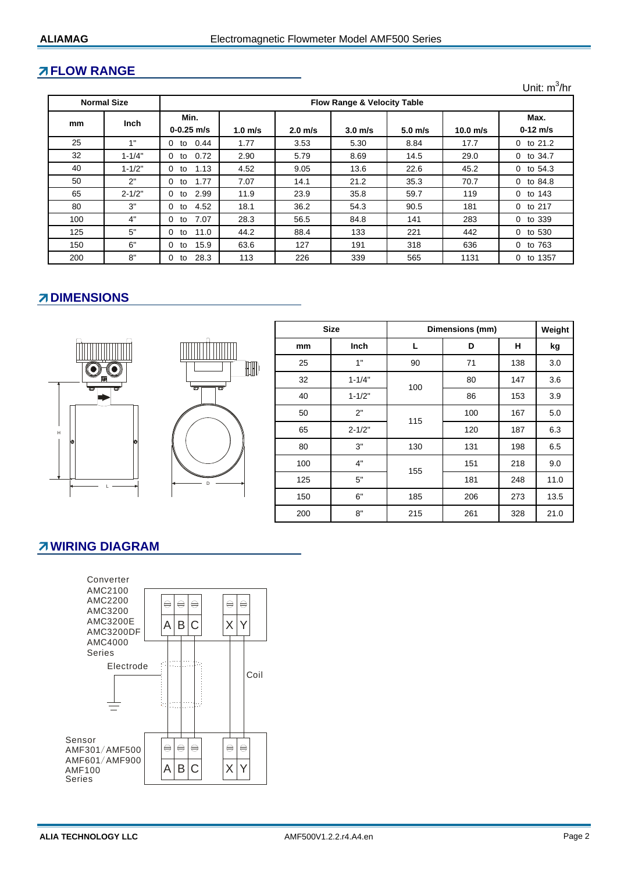### **FLOW RANGE**

Unit: m<sup>3</sup>/hr

| <b>Normal Size</b> |             | <b>Flow Range &amp; Velocity Table</b> |           |           |                    |           |            |                     |  |
|--------------------|-------------|----------------------------------------|-----------|-----------|--------------------|-----------|------------|---------------------|--|
| mm                 | <b>Inch</b> | Min.                                   |           |           |                    |           |            | Max.                |  |
|                    |             | $0 - 0.25$ m/s                         | $1.0$ m/s | $2.0$ m/s | 3.0 <sub>m/s</sub> | $5.0$ m/s | $10.0$ m/s | $0-12$ m/s          |  |
| 25                 | 4"          | 0.44<br>$\Omega$<br>to                 | 1.77      | 3.53      | 5.30               | 8.84      | 17.7       | $0$ to $21.2$       |  |
| 32                 | $1 - 1/4"$  | 0.72<br>0<br>to                        | 2.90      | 5.79      | 8.69               | 14.5      | 29.0       | 0 to 34.7           |  |
| 40                 | $1 - 1/2"$  | 1.13<br>0<br>to                        | 4.52      | 9.05      | 13.6               | 22.6      | 45.2       | 0 to 54.3           |  |
| 50                 | 2"          | 1.77<br>0<br>to                        | 7.07      | 14.1      | 21.2               | 35.3      | 70.7       | 0 to 84.8           |  |
| 65                 | $2 - 1/2"$  | 2.99<br>0<br>to                        | 11.9      | 23.9      | 35.8               | 59.7      | 119        | 0 to 143            |  |
| 80                 | 3"          | 4.52<br>0<br>to                        | 18.1      | 36.2      | 54.3               | 90.5      | 181        | 0 to 217            |  |
| 100                | 4"          | 7.07<br>0<br>to                        | 28.3      | 56.5      | 84.8               | 141       | 283        | 0 to 339            |  |
| 125                | 5"          | 11.0<br>0<br>to                        | 44.2      | 88.4      | 133                | 221       | 442        | 0 to 530            |  |
| 150                | 6"          | 15.9<br>0<br>to                        | 63.6      | 127       | 191                | 318       | 636        | 0 to 763            |  |
| 200                | 8"          | 28.3<br>0<br>to                        | 113       | 226       | 339                | 565       | 1131       | to 1357<br>$\Omega$ |  |

# **ZDIMENSIONS**





|     | <b>Size</b> | Dimensions (mm) | Weight |     |      |
|-----|-------------|-----------------|--------|-----|------|
| mm  | Inch        | L               | D      | н   | kg   |
| 25  | 1"          | 90              | 71     | 138 | 3.0  |
| 32  | $1 - 1/4"$  | 100             | 80     | 147 | 3.6  |
| 40  | $1 - 1/2"$  |                 | 86     | 153 | 3.9  |
| 50  | 2"          | 115             | 100    | 167 | 5.0  |
| 65  | $2 - 1/2"$  |                 | 120    | 187 | 6.3  |
| 80  | 3"          | 130             | 131    | 198 | 6.5  |
| 100 | 4"          | 155             | 151    | 218 | 9.0  |
| 125 | 5"          |                 | 181    | 248 | 11.0 |
| 150 | 6"          | 185             | 206    | 273 | 13.5 |
| 200 | 8"          | 215             | 261    | 328 | 21.0 |

#### **ZWIRING DIAGRAM**

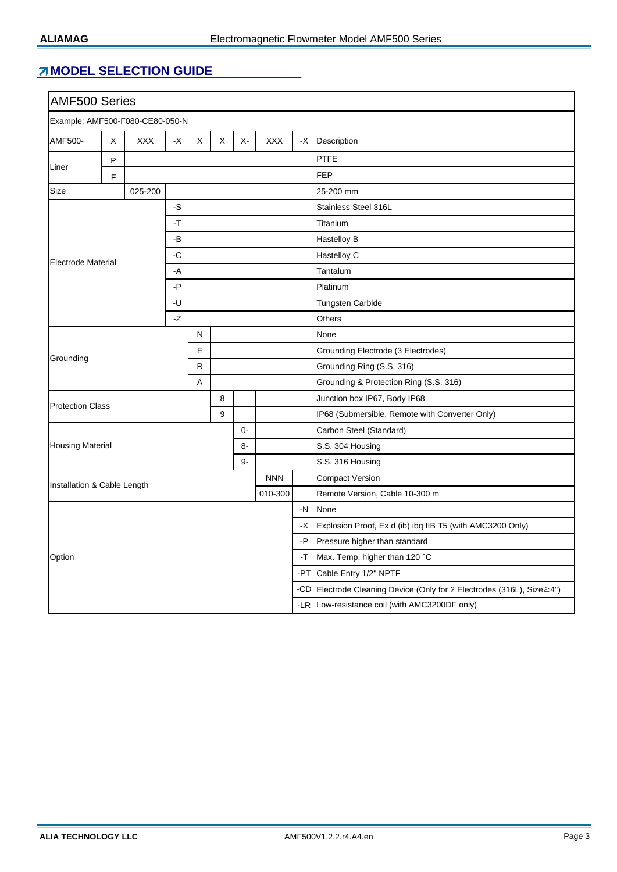# **MODEL SELECTION GUIDE**

| <b>AMF500 Series</b>                                  |   |            |               |   |                                                |             |                    |      |                                                                        |  |  |
|-------------------------------------------------------|---|------------|---------------|---|------------------------------------------------|-------------|--------------------|------|------------------------------------------------------------------------|--|--|
| Example: AMF500-F080-CE80-050-N                       |   |            |               |   |                                                |             |                    |      |                                                                        |  |  |
| AMF500-                                               | X | <b>XXX</b> | $\mathsf{-X}$ | X | Χ                                              | $X-$        | <b>XXX</b>         | -X   | Description                                                            |  |  |
|                                                       | P |            |               |   |                                                |             |                    | PTFE |                                                                        |  |  |
| Liner                                                 | F |            |               |   |                                                |             |                    |      | <b>FEP</b>                                                             |  |  |
| Size<br>025-200                                       |   |            |               |   |                                                |             |                    |      | 25-200 mm                                                              |  |  |
| $-S$<br>$-T$<br>-B<br>-C<br><b>Electrode Material</b> |   |            |               |   | Stainless Steel 316L                           |             |                    |      |                                                                        |  |  |
|                                                       |   |            |               |   | Titanium                                       |             |                    |      |                                                                        |  |  |
|                                                       |   |            |               |   |                                                |             | <b>Hastelloy B</b> |      |                                                                        |  |  |
|                                                       |   |            |               |   |                                                | Hastelloy C |                    |      |                                                                        |  |  |
|                                                       |   |            | -A            |   |                                                |             |                    |      | Tantalum                                                               |  |  |
|                                                       |   |            | -P            |   |                                                |             |                    |      | Platinum                                                               |  |  |
|                                                       |   |            | -U            |   |                                                |             |                    |      | <b>Tungsten Carbide</b>                                                |  |  |
|                                                       |   |            | -Z            |   |                                                |             |                    |      | Others                                                                 |  |  |
|                                                       |   |            |               | N |                                                |             |                    |      | None                                                                   |  |  |
| Grounding                                             |   |            |               | E |                                                |             |                    |      | Grounding Electrode (3 Electrodes)                                     |  |  |
|                                                       |   |            |               | R |                                                |             |                    |      | Grounding Ring (S.S. 316)                                              |  |  |
|                                                       |   |            |               | A |                                                |             |                    |      | Grounding & Protection Ring (S.S. 316)                                 |  |  |
|                                                       |   |            |               |   | 8                                              |             |                    |      | Junction box IP67, Body IP68                                           |  |  |
| <b>Protection Class</b><br>9                          |   |            |               |   | IP68 (Submersible, Remote with Converter Only) |             |                    |      |                                                                        |  |  |
| $0-$<br><b>Housing Material</b><br>8-<br>9-           |   |            |               |   | Carbon Steel (Standard)                        |             |                    |      |                                                                        |  |  |
|                                                       |   |            |               |   | S.S. 304 Housing                               |             |                    |      |                                                                        |  |  |
|                                                       |   |            |               |   | S.S. 316 Housing                               |             |                    |      |                                                                        |  |  |
| <b>NNN</b>                                            |   |            |               |   | <b>Compact Version</b>                         |             |                    |      |                                                                        |  |  |
| Installation & Cable Length                           |   |            |               |   |                                                |             | 010-300            |      | Remote Version, Cable 10-300 m                                         |  |  |
|                                                       |   |            |               |   |                                                |             |                    | $-N$ | None                                                                   |  |  |
|                                                       |   |            |               |   |                                                |             |                    | -X   | Explosion Proof, Ex d (ib) ibq IIB T5 (with AMC3200 Only)              |  |  |
|                                                       |   |            |               |   |                                                |             |                    | -P   | Pressure higher than standard                                          |  |  |
| Option                                                |   |            |               |   |                                                |             |                    | -T   | Max. Temp. higher than 120 °C                                          |  |  |
|                                                       |   |            |               |   |                                                |             |                    | -PT  | Cable Entry 1/2" NPTF                                                  |  |  |
|                                                       |   |            |               |   |                                                |             |                    |      | -CD Electrode Cleaning Device (Only for 2 Electrodes (316L), Size ≥4") |  |  |
|                                                       |   |            |               |   |                                                |             |                    |      | -LR Low-resistance coil (with AMC3200DF only)                          |  |  |